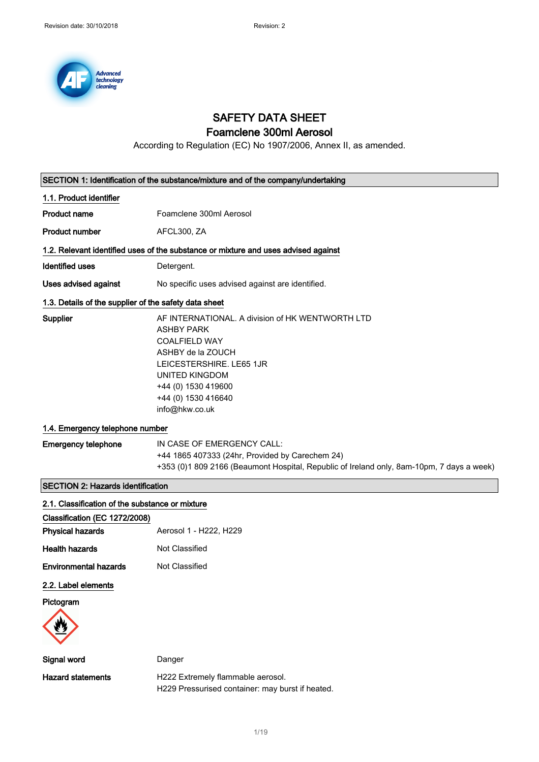

# SAFETY DATA SHEET

## Foamclene 300ml Aerosol

According to Regulation (EC) No 1907/2006, Annex II, as amended.

| SECTION 1: Identification of the substance/mixture and of the company/undertaking |                                                                                                                                                                                                                                         |  |
|-----------------------------------------------------------------------------------|-----------------------------------------------------------------------------------------------------------------------------------------------------------------------------------------------------------------------------------------|--|
| 1.1. Product identifier                                                           |                                                                                                                                                                                                                                         |  |
| <b>Product name</b>                                                               | Foamclene 300ml Aerosol                                                                                                                                                                                                                 |  |
| <b>Product number</b>                                                             | AFCL300, ZA                                                                                                                                                                                                                             |  |
|                                                                                   | 1.2. Relevant identified uses of the substance or mixture and uses advised against                                                                                                                                                      |  |
| <b>Identified uses</b>                                                            | Detergent.                                                                                                                                                                                                                              |  |
| <b>Uses advised against</b>                                                       | No specific uses advised against are identified.                                                                                                                                                                                        |  |
| 1.3. Details of the supplier of the safety data sheet                             |                                                                                                                                                                                                                                         |  |
| Supplier                                                                          | AF INTERNATIONAL. A division of HK WENTWORTH LTD<br><b>ASHBY PARK</b><br><b>COALFIELD WAY</b><br>ASHBY de la ZOUCH<br>LEICESTERSHIRE. LE65 1JR<br><b>UNITED KINGDOM</b><br>+44 (0) 1530 419600<br>+44 (0) 1530 416640<br>info@hkw.co.uk |  |
| 1.4. Emergency telephone number                                                   |                                                                                                                                                                                                                                         |  |
| <b>Emergency telephone</b>                                                        | IN CASE OF EMERGENCY CALL:<br>+44 1865 407333 (24hr, Provided by Carechem 24)<br>+353 (0)1 809 2166 (Beaumont Hospital, Republic of Ireland only, 8am-10pm, 7 days a week)                                                              |  |
| <b>SECTION 2: Hazards identification</b>                                          |                                                                                                                                                                                                                                         |  |
| 2.1. Classification of the substance or mixture                                   |                                                                                                                                                                                                                                         |  |
| Classification (EC 1272/2008)                                                     |                                                                                                                                                                                                                                         |  |
| <b>Physical hazards</b>                                                           | Aerosol 1 - H222, H229                                                                                                                                                                                                                  |  |
| <b>Health hazards</b>                                                             | Not Classified                                                                                                                                                                                                                          |  |
| <b>Environmental hazards</b>                                                      | Not Classified                                                                                                                                                                                                                          |  |
| 2.2. Label elements                                                               |                                                                                                                                                                                                                                         |  |
| Pictogram                                                                         |                                                                                                                                                                                                                                         |  |
|                                                                                   |                                                                                                                                                                                                                                         |  |
| Signal word                                                                       | Danger                                                                                                                                                                                                                                  |  |
| <b>Hazard statements</b>                                                          | H222 Extremely flammable aerosol.<br>H229 Pressurised container: may burst if heated.                                                                                                                                                   |  |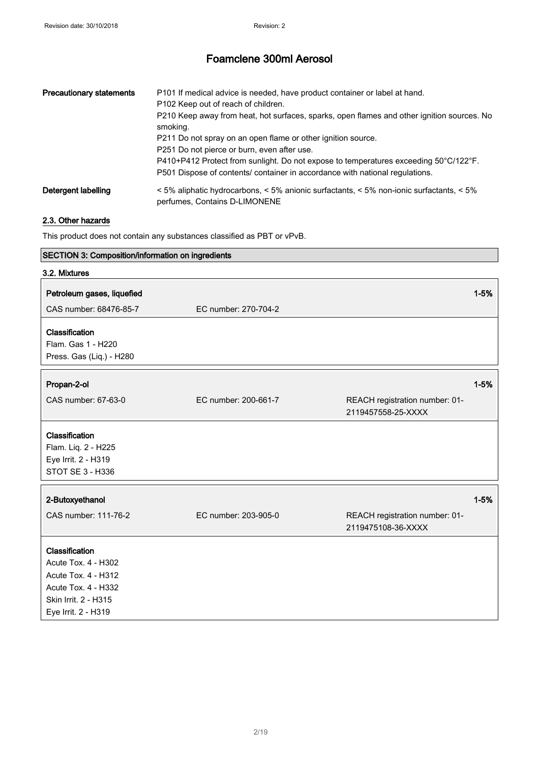| <b>Precautionary statements</b> | P101 If medical advice is needed, have product container or label at hand.<br>P102 Keep out of reach of children.<br>P210 Keep away from heat, hot surfaces, sparks, open flames and other ignition sources. No<br>smoking.<br>P211 Do not spray on an open flame or other ignition source.<br>P251 Do not pierce or burn, even after use.<br>P410+P412 Protect from sunlight. Do not expose to temperatures exceeding 50°C/122°F.<br>P501 Dispose of contents/ container in accordance with national regulations. |
|---------------------------------|--------------------------------------------------------------------------------------------------------------------------------------------------------------------------------------------------------------------------------------------------------------------------------------------------------------------------------------------------------------------------------------------------------------------------------------------------------------------------------------------------------------------|
| Detergent labelling             | $\leq$ 5% aliphatic hydrocarbons, $\leq$ 5% anionic surfactants, $\leq$ 5% non-ionic surfactants, $\leq$ 5%<br>perfumes, Contains D-LIMONENE                                                                                                                                                                                                                                                                                                                                                                       |

### 2.3. Other hazards

This product does not contain any substances classified as PBT or vPvB.

| SECTION 3: Composition/information on ingredients                                                                                  |                      |                                                      |          |
|------------------------------------------------------------------------------------------------------------------------------------|----------------------|------------------------------------------------------|----------|
| 3.2. Mixtures                                                                                                                      |                      |                                                      |          |
| Petroleum gases, liquefied<br>CAS number: 68476-85-7                                                                               | EC number: 270-704-2 |                                                      | $1 - 5%$ |
| Classification<br>Flam. Gas 1 - H220<br>Press. Gas (Liq.) - H280                                                                   |                      |                                                      |          |
| Propan-2-ol                                                                                                                        |                      |                                                      | $1 - 5%$ |
| CAS number: 67-63-0                                                                                                                | EC number: 200-661-7 | REACH registration number: 01-<br>2119457558-25-XXXX |          |
| Classification<br>Flam. Liq. 2 - H225<br>Eye Irrit. 2 - H319<br><b>STOT SE 3 - H336</b>                                            |                      |                                                      |          |
| 2-Butoxyethanol                                                                                                                    |                      |                                                      | $1 - 5%$ |
| CAS number: 111-76-2                                                                                                               | EC number: 203-905-0 | REACH registration number: 01-<br>2119475108-36-XXXX |          |
| Classification<br>Acute Tox. 4 - H302<br>Acute Tox. 4 - H312<br>Acute Tox. 4 - H332<br>Skin Irrit. 2 - H315<br>Eye Irrit. 2 - H319 |                      |                                                      |          |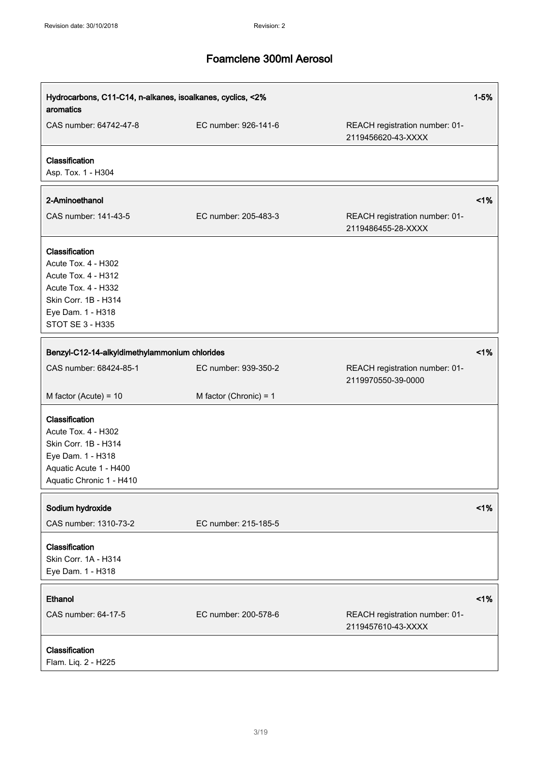| Hydrocarbons, C11-C14, n-alkanes, isoalkanes, cyclics, <2%<br>aromatics                                                                              |                                               | $1 - 5%$                                             |        |
|------------------------------------------------------------------------------------------------------------------------------------------------------|-----------------------------------------------|------------------------------------------------------|--------|
| CAS number: 64742-47-8                                                                                                                               | EC number: 926-141-6                          | REACH registration number: 01-<br>2119456620-43-XXXX |        |
| Classification<br>Asp. Tox. 1 - H304                                                                                                                 |                                               |                                                      |        |
| 2-Aminoethanol                                                                                                                                       |                                               |                                                      | 1%     |
| CAS number: 141-43-5                                                                                                                                 | EC number: 205-483-3                          | REACH registration number: 01-<br>2119486455-28-XXXX |        |
| Classification<br>Acute Tox. 4 - H302<br>Acute Tox. 4 - H312<br>Acute Tox. 4 - H332<br>Skin Corr. 1B - H314<br>Eye Dam. 1 - H318<br>STOT SE 3 - H335 |                                               |                                                      |        |
|                                                                                                                                                      | Benzyl-C12-14-alkyldimethylammonium chlorides |                                                      | $<$ 1% |
| CAS number: 68424-85-1                                                                                                                               | EC number: 939-350-2                          | REACH registration number: 01-<br>2119970550-39-0000 |        |
| M factor (Acute) = $10$                                                                                                                              | M factor (Chronic) = $1$                      |                                                      |        |
| Classification<br>Acute Tox. 4 - H302<br>Skin Corr. 1B - H314<br>Eye Dam. 1 - H318<br>Aquatic Acute 1 - H400<br>Aquatic Chronic 1 - H410             |                                               |                                                      |        |
| Sodium hydroxide                                                                                                                                     |                                               |                                                      | 1%     |
| CAS number: 1310-73-2                                                                                                                                | EC number: 215-185-5                          |                                                      |        |
| Classification<br>Skin Corr. 1A - H314<br>Eye Dam. 1 - H318                                                                                          |                                               |                                                      |        |
| Ethanol                                                                                                                                              |                                               |                                                      | $<$ 1% |
| CAS number: 64-17-5                                                                                                                                  | EC number: 200-578-6                          | REACH registration number: 01-<br>2119457610-43-XXXX |        |
| Classification<br>Flam. Liq. 2 - H225                                                                                                                |                                               |                                                      |        |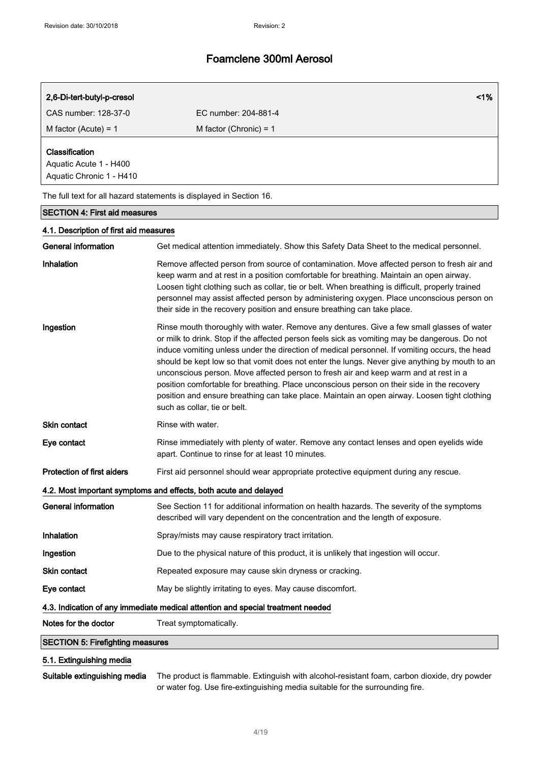| 2,6-Di-tert-butyl-p-cresol                                                  |                          | $1\%$ |
|-----------------------------------------------------------------------------|--------------------------|-------|
| CAS number: 128-37-0                                                        | EC number: 204-881-4     |       |
| M factor (Acute) = $1$                                                      | M factor (Chronic) = $1$ |       |
| <b>Classification</b><br>Aquatic Acute 1 - H400<br>Aquatic Chronic 1 - H410 |                          |       |
| The full text for all hazard statements is displayed in Section 16.         |                          |       |

## SECTION 4: First aid measures

| 4.1. Description of first aid measures                                          |                                                                                                                                                                                                                                                                                                                                                                                                                                                                                                                                                                                                                                                                                                                    |  |
|---------------------------------------------------------------------------------|--------------------------------------------------------------------------------------------------------------------------------------------------------------------------------------------------------------------------------------------------------------------------------------------------------------------------------------------------------------------------------------------------------------------------------------------------------------------------------------------------------------------------------------------------------------------------------------------------------------------------------------------------------------------------------------------------------------------|--|
| <b>General information</b>                                                      | Get medical attention immediately. Show this Safety Data Sheet to the medical personnel.                                                                                                                                                                                                                                                                                                                                                                                                                                                                                                                                                                                                                           |  |
| Inhalation                                                                      | Remove affected person from source of contamination. Move affected person to fresh air and<br>keep warm and at rest in a position comfortable for breathing. Maintain an open airway.<br>Loosen tight clothing such as collar, tie or belt. When breathing is difficult, properly trained<br>personnel may assist affected person by administering oxygen. Place unconscious person on<br>their side in the recovery position and ensure breathing can take place.                                                                                                                                                                                                                                                 |  |
| Ingestion                                                                       | Rinse mouth thoroughly with water. Remove any dentures. Give a few small glasses of water<br>or milk to drink. Stop if the affected person feels sick as vomiting may be dangerous. Do not<br>induce vomiting unless under the direction of medical personnel. If vomiting occurs, the head<br>should be kept low so that vomit does not enter the lungs. Never give anything by mouth to an<br>unconscious person. Move affected person to fresh air and keep warm and at rest in a<br>position comfortable for breathing. Place unconscious person on their side in the recovery<br>position and ensure breathing can take place. Maintain an open airway. Loosen tight clothing<br>such as collar, tie or belt. |  |
| Skin contact                                                                    | Rinse with water.                                                                                                                                                                                                                                                                                                                                                                                                                                                                                                                                                                                                                                                                                                  |  |
| Eye contact                                                                     | Rinse immediately with plenty of water. Remove any contact lenses and open eyelids wide<br>apart. Continue to rinse for at least 10 minutes.                                                                                                                                                                                                                                                                                                                                                                                                                                                                                                                                                                       |  |
| <b>Protection of first aiders</b>                                               | First aid personnel should wear appropriate protective equipment during any rescue.                                                                                                                                                                                                                                                                                                                                                                                                                                                                                                                                                                                                                                |  |
|                                                                                 | 4.2. Most important symptoms and effects, both acute and delayed                                                                                                                                                                                                                                                                                                                                                                                                                                                                                                                                                                                                                                                   |  |
| <b>General information</b>                                                      | See Section 11 for additional information on health hazards. The severity of the symptoms<br>described will vary dependent on the concentration and the length of exposure.                                                                                                                                                                                                                                                                                                                                                                                                                                                                                                                                        |  |
| Inhalation                                                                      | Spray/mists may cause respiratory tract irritation.                                                                                                                                                                                                                                                                                                                                                                                                                                                                                                                                                                                                                                                                |  |
| Ingestion                                                                       | Due to the physical nature of this product, it is unlikely that ingestion will occur.                                                                                                                                                                                                                                                                                                                                                                                                                                                                                                                                                                                                                              |  |
| Skin contact                                                                    | Repeated exposure may cause skin dryness or cracking.                                                                                                                                                                                                                                                                                                                                                                                                                                                                                                                                                                                                                                                              |  |
| Eye contact                                                                     | May be slightly irritating to eyes. May cause discomfort.                                                                                                                                                                                                                                                                                                                                                                                                                                                                                                                                                                                                                                                          |  |
| 4.3. Indication of any immediate medical attention and special treatment needed |                                                                                                                                                                                                                                                                                                                                                                                                                                                                                                                                                                                                                                                                                                                    |  |
| Notes for the doctor                                                            | Treat symptomatically.                                                                                                                                                                                                                                                                                                                                                                                                                                                                                                                                                                                                                                                                                             |  |
| <b>SECTION 5: Firefighting measures</b>                                         |                                                                                                                                                                                                                                                                                                                                                                                                                                                                                                                                                                                                                                                                                                                    |  |

### 5.1. Extinguishing media

Suitable extinguishing media The product is flammable. Extinguish with alcohol-resistant foam, carbon dioxide, dry powder or water fog. Use fire-extinguishing media suitable for the surrounding fire.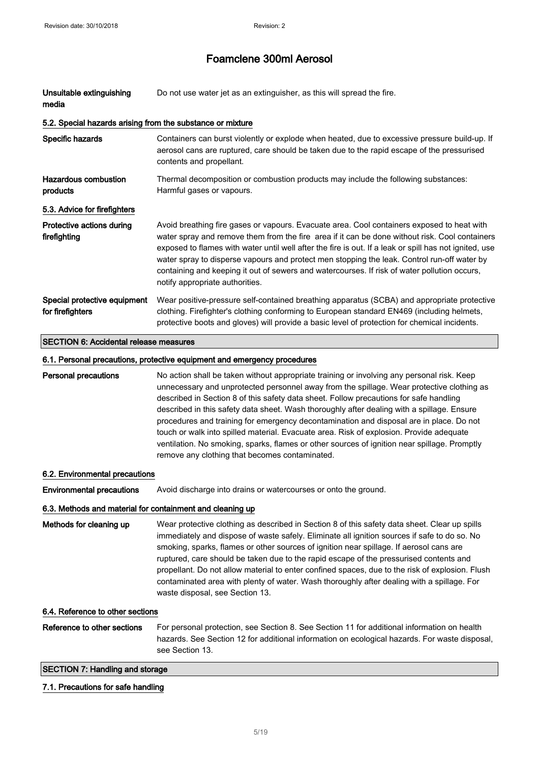| Unsuitable extinguishing<br>media                          | Do not use water jet as an extinguisher, as this will spread the fire.                                                                                                                                                                                                                                                                                                                                                                                                                                                                                                                                                                                                                                                  |
|------------------------------------------------------------|-------------------------------------------------------------------------------------------------------------------------------------------------------------------------------------------------------------------------------------------------------------------------------------------------------------------------------------------------------------------------------------------------------------------------------------------------------------------------------------------------------------------------------------------------------------------------------------------------------------------------------------------------------------------------------------------------------------------------|
| 5.2. Special hazards arising from the substance or mixture |                                                                                                                                                                                                                                                                                                                                                                                                                                                                                                                                                                                                                                                                                                                         |
| <b>Specific hazards</b>                                    | Containers can burst violently or explode when heated, due to excessive pressure build-up. If<br>aerosol cans are ruptured, care should be taken due to the rapid escape of the pressurised<br>contents and propellant.                                                                                                                                                                                                                                                                                                                                                                                                                                                                                                 |
| Hazardous combustion<br>products                           | Thermal decomposition or combustion products may include the following substances:<br>Harmful gases or vapours.                                                                                                                                                                                                                                                                                                                                                                                                                                                                                                                                                                                                         |
| 5.3. Advice for firefighters                               |                                                                                                                                                                                                                                                                                                                                                                                                                                                                                                                                                                                                                                                                                                                         |
| Protective actions during<br>firefighting                  | Avoid breathing fire gases or vapours. Evacuate area. Cool containers exposed to heat with<br>water spray and remove them from the fire area if it can be done without risk. Cool containers<br>exposed to flames with water until well after the fire is out. If a leak or spill has not ignited, use<br>water spray to disperse vapours and protect men stopping the leak. Control run-off water by<br>containing and keeping it out of sewers and watercourses. If risk of water pollution occurs,<br>notify appropriate authorities.                                                                                                                                                                                |
| Special protective equipment<br>for firefighters           | Wear positive-pressure self-contained breathing apparatus (SCBA) and appropriate protective<br>clothing. Firefighter's clothing conforming to European standard EN469 (including helmets,<br>protective boots and gloves) will provide a basic level of protection for chemical incidents.                                                                                                                                                                                                                                                                                                                                                                                                                              |
| <b>SECTION 6: Accidental release measures</b>              |                                                                                                                                                                                                                                                                                                                                                                                                                                                                                                                                                                                                                                                                                                                         |
|                                                            | 6.1. Personal precautions, protective equipment and emergency procedures                                                                                                                                                                                                                                                                                                                                                                                                                                                                                                                                                                                                                                                |
| Personal precautions                                       | No action shall be taken without appropriate training or involving any personal risk. Keep<br>unnecessary and unprotected personnel away from the spillage. Wear protective clothing as<br>described in Section 8 of this safety data sheet. Follow precautions for safe handling<br>described in this safety data sheet. Wash thoroughly after dealing with a spillage. Ensure<br>procedures and training for emergency decontamination and disposal are in place. Do not<br>touch or walk into spilled material. Evacuate area. Risk of explosion. Provide adequate<br>ventilation. No smoking, sparks, flames or other sources of ignition near spillage. Promptly<br>remove any clothing that becomes contaminated. |
| 6.2. Environmental precautions                             |                                                                                                                                                                                                                                                                                                                                                                                                                                                                                                                                                                                                                                                                                                                         |
| <b>Environmental precautions</b>                           | Avoid discharge into drains or watercourses or onto the ground.                                                                                                                                                                                                                                                                                                                                                                                                                                                                                                                                                                                                                                                         |
| 6.3. Methods and material for containment and cleaning up  |                                                                                                                                                                                                                                                                                                                                                                                                                                                                                                                                                                                                                                                                                                                         |
| Methods for cleaning up                                    | Wear protective clothing as described in Section 8 of this safety data sheet. Clear up spills<br>immediately and dispose of waste safely. Eliminate all ignition sources if safe to do so. No<br>smoking, sparks, flames or other sources of ignition near spillage. If aerosol cans are<br>ruptured, care should be taken due to the rapid escape of the pressurised contents and<br>propellant. Do not allow material to enter confined spaces, due to the risk of explosion. Flush<br>contaminated area with plenty of water. Wash thoroughly after dealing with a spillage. For<br>waste disposal, see Section 13.                                                                                                  |
| 6.4. Reference to other sections                           |                                                                                                                                                                                                                                                                                                                                                                                                                                                                                                                                                                                                                                                                                                                         |
| Reference to other sections                                | For personal protection, see Section 8. See Section 11 for additional information on health<br>hazards. See Section 12 for additional information on ecological hazards. For waste disposal,<br>see Section 13.                                                                                                                                                                                                                                                                                                                                                                                                                                                                                                         |
| <b>SECTION 7: Handling and storage</b>                     |                                                                                                                                                                                                                                                                                                                                                                                                                                                                                                                                                                                                                                                                                                                         |

## 7.1. Precautions for safe handling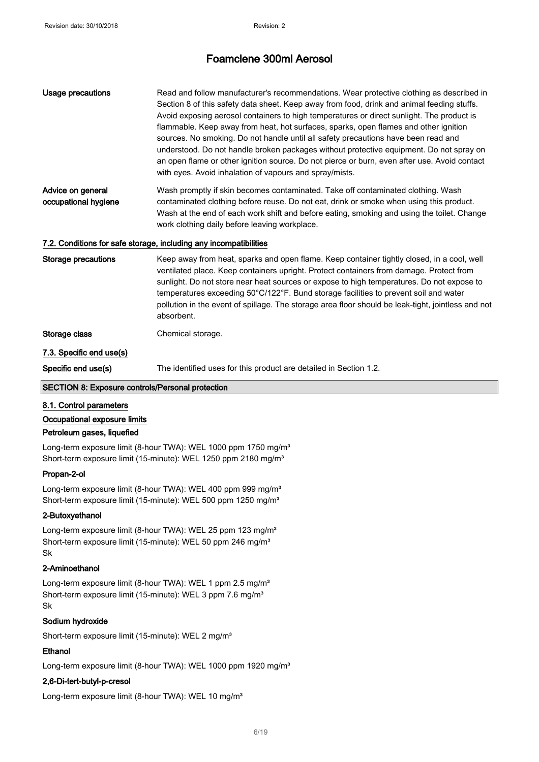| Usage precautions                         | Read and follow manufacturer's recommendations. Wear protective clothing as described in<br>Section 8 of this safety data sheet. Keep away from food, drink and animal feeding stuffs.<br>Avoid exposing aerosol containers to high temperatures or direct sunlight. The product is<br>flammable. Keep away from heat, hot surfaces, sparks, open flames and other ignition<br>sources. No smoking. Do not handle until all safety precautions have been read and<br>understood. Do not handle broken packages without protective equipment. Do not spray on<br>an open flame or other ignition source. Do not pierce or burn, even after use. Avoid contact<br>with eyes. Avoid inhalation of vapours and spray/mists. |  |  |
|-------------------------------------------|-------------------------------------------------------------------------------------------------------------------------------------------------------------------------------------------------------------------------------------------------------------------------------------------------------------------------------------------------------------------------------------------------------------------------------------------------------------------------------------------------------------------------------------------------------------------------------------------------------------------------------------------------------------------------------------------------------------------------|--|--|
| Advice on general<br>occupational hygiene | Wash promptly if skin becomes contaminated. Take off contaminated clothing. Wash<br>contaminated clothing before reuse. Do not eat, drink or smoke when using this product.<br>Wash at the end of each work shift and before eating, smoking and using the toilet. Change<br>work clothing daily before leaving workplace.                                                                                                                                                                                                                                                                                                                                                                                              |  |  |
|                                           | 7.2. Conditions for safe storage, including any incompatibilities                                                                                                                                                                                                                                                                                                                                                                                                                                                                                                                                                                                                                                                       |  |  |
| Storage precautions                       | Keep away from heat, sparks and open flame. Keep container tightly closed, in a cool, well<br>ventilated place. Keep containers upright. Protect containers from damage. Protect from<br>sunlight. Do not store near heat sources or expose to high temperatures. Do not expose to<br>temperatures exceeding 50°C/122°F. Bund storage facilities to prevent soil and water<br>pollution in the event of spillage. The storage area floor should be leak-tight, jointless and not<br>absorbent.                                                                                                                                                                                                                          |  |  |
| Storage class                             | Chemical storage.                                                                                                                                                                                                                                                                                                                                                                                                                                                                                                                                                                                                                                                                                                       |  |  |
| 7.3. Specific end use(s)                  |                                                                                                                                                                                                                                                                                                                                                                                                                                                                                                                                                                                                                                                                                                                         |  |  |
| Specific end use(s)                       | The identified uses for this product are detailed in Section 1.2.                                                                                                                                                                                                                                                                                                                                                                                                                                                                                                                                                                                                                                                       |  |  |
|                                           |                                                                                                                                                                                                                                                                                                                                                                                                                                                                                                                                                                                                                                                                                                                         |  |  |

### SECTION 8: Exposure controls/Personal protection

#### 8.1. Control parameters

#### Occupational exposure limits

### Petroleum gases, liquefied

Long-term exposure limit (8-hour TWA): WEL 1000 ppm 1750 mg/m<sup>3</sup> Short-term exposure limit (15-minute): WEL 1250 ppm 2180 mg/m<sup>3</sup>

### Propan-2-ol

Long-term exposure limit (8-hour TWA): WEL 400 ppm 999 mg/m<sup>3</sup> Short-term exposure limit (15-minute): WEL 500 ppm 1250 mg/m<sup>3</sup>

#### 2-Butoxyethanol

Long-term exposure limit (8-hour TWA): WEL 25 ppm 123 mg/m<sup>3</sup> Short-term exposure limit (15-minute): WEL 50 ppm 246 mg/m<sup>3</sup> Sk

#### 2-Aminoethanol

Long-term exposure limit (8-hour TWA): WEL 1 ppm 2.5 mg/m<sup>3</sup> Short-term exposure limit (15-minute): WEL 3 ppm 7.6 mg/m<sup>3</sup> Sk

### Sodium hydroxide

Short-term exposure limit (15-minute): WEL 2 mg/m<sup>3</sup>

#### Ethanol

Long-term exposure limit (8-hour TWA): WEL 1000 ppm 1920 mg/m<sup>3</sup>

#### 2,6-Di-tert-butyl-p-cresol

Long-term exposure limit (8-hour TWA): WEL 10 mg/m<sup>3</sup>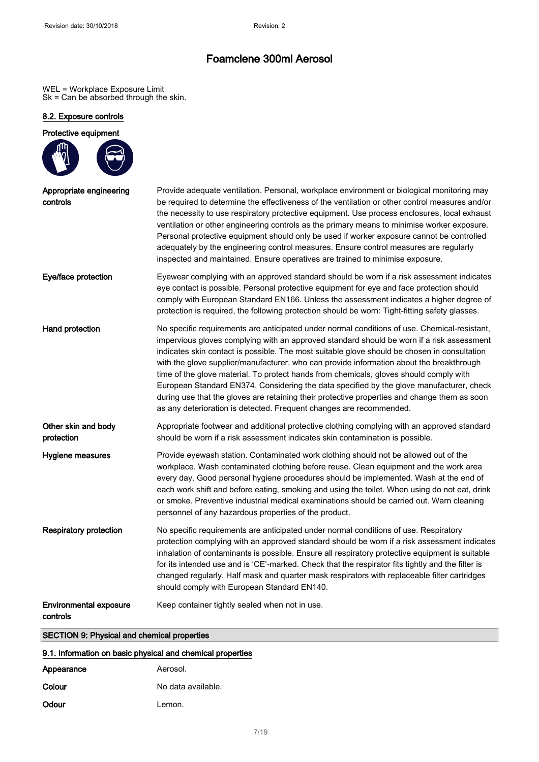WEL = Workplace Exposure Limit Sk = Can be absorbed through the skin.

#### 8.2. Exposure controls

### Protective equipment Appropriate engineering controls Provide adequate ventilation. Personal, workplace environment or biological monitoring may be required to determine the effectiveness of the ventilation or other control measures and/or the necessity to use respiratory protective equipment. Use process enclosures, local exhaust ventilation or other engineering controls as the primary means to minimise worker exposure. Personal protective equipment should only be used if worker exposure cannot be controlled adequately by the engineering control measures. Ensure control measures are regularly inspected and maintained. Ensure operatives are trained to minimise exposure. Eye/face protection Eyewear complying with an approved standard should be worn if a risk assessment indicates eye contact is possible. Personal protective equipment for eye and face protection should comply with European Standard EN166. Unless the assessment indicates a higher degree of protection is required, the following protection should be worn: Tight-fitting safety glasses. Hand protection No specific requirements are anticipated under normal conditions of use. Chemical-resistant, impervious gloves complying with an approved standard should be worn if a risk assessment indicates skin contact is possible. The most suitable glove should be chosen in consultation with the glove supplier/manufacturer, who can provide information about the breakthrough time of the glove material. To protect hands from chemicals, gloves should comply with European Standard EN374. Considering the data specified by the glove manufacturer, check during use that the gloves are retaining their protective properties and change them as soon as any deterioration is detected. Frequent changes are recommended. Other skin and body protection Appropriate footwear and additional protective clothing complying with an approved standard should be worn if a risk assessment indicates skin contamination is possible. Hygiene measures Provide eyewash station. Contaminated work clothing should not be allowed out of the workplace. Wash contaminated clothing before reuse. Clean equipment and the work area every day. Good personal hygiene procedures should be implemented. Wash at the end of each work shift and before eating, smoking and using the toilet. When using do not eat, drink or smoke. Preventive industrial medical examinations should be carried out. Warn cleaning personnel of any hazardous properties of the product. Respiratory protection No specific requirements are anticipated under normal conditions of use. Respiratory protection complying with an approved standard should be worn if a risk assessment indicates inhalation of contaminants is possible. Ensure all respiratory protective equipment is suitable for its intended use and is 'CE'-marked. Check that the respirator fits tightly and the filter is changed regularly. Half mask and quarter mask respirators with replaceable filter cartridges should comply with European Standard EN140. Environmental exposure controls Keep container tightly sealed when not in use. SECTION 9: Physical and chemical properties

#### 9.1. Information on basic physical and chemical properties

| Appearance | Aerosol.           |
|------------|--------------------|
| Colour     | No data available. |
| Odour      | Lemon.             |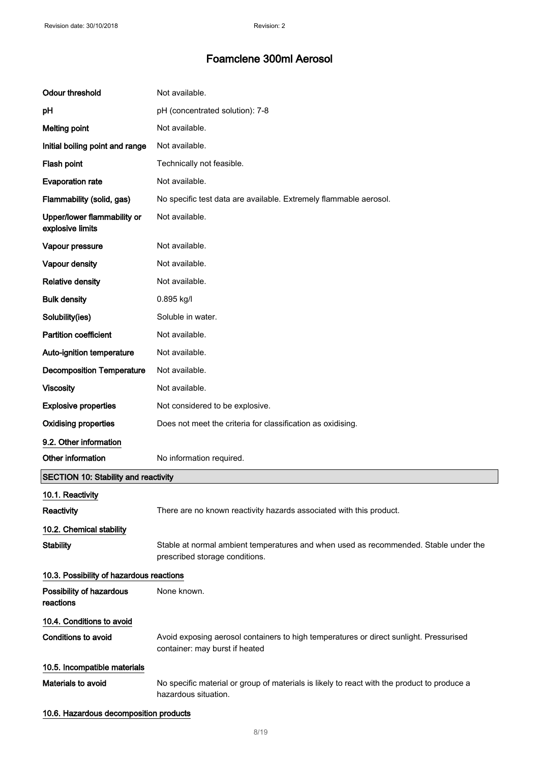| <b>Odour threshold</b>                          | Not available.                                                                                                           |  |
|-------------------------------------------------|--------------------------------------------------------------------------------------------------------------------------|--|
| pH                                              | pH (concentrated solution): 7-8                                                                                          |  |
| <b>Melting point</b>                            | Not available.                                                                                                           |  |
| Initial boiling point and range                 | Not available.                                                                                                           |  |
| Flash point                                     | Technically not feasible.                                                                                                |  |
| <b>Evaporation rate</b>                         | Not available.                                                                                                           |  |
| Flammability (solid, gas)                       | No specific test data are available. Extremely flammable aerosol.                                                        |  |
| Upper/lower flammability or<br>explosive limits | Not available.                                                                                                           |  |
| Vapour pressure                                 | Not available.                                                                                                           |  |
| Vapour density                                  | Not available.                                                                                                           |  |
| <b>Relative density</b>                         | Not available.                                                                                                           |  |
| <b>Bulk density</b>                             | 0.895 kg/l                                                                                                               |  |
| Solubility(ies)                                 | Soluble in water.                                                                                                        |  |
| <b>Partition coefficient</b>                    | Not available.                                                                                                           |  |
| Auto-ignition temperature                       | Not available.                                                                                                           |  |
| <b>Decomposition Temperature</b>                | Not available.                                                                                                           |  |
| <b>Viscosity</b>                                | Not available.                                                                                                           |  |
| <b>Explosive properties</b>                     | Not considered to be explosive.                                                                                          |  |
| <b>Oxidising properties</b>                     | Does not meet the criteria for classification as oxidising.                                                              |  |
| 9.2. Other information                          |                                                                                                                          |  |
| Other information                               | No information required.                                                                                                 |  |
| <b>SECTION 10: Stability and reactivity</b>     |                                                                                                                          |  |
| 10.1. Reactivity                                |                                                                                                                          |  |
| <b>Reactivity</b>                               | There are no known reactivity hazards associated with this product.                                                      |  |
| 10.2. Chemical stability                        |                                                                                                                          |  |
| <b>Stability</b>                                | Stable at normal ambient temperatures and when used as recommended. Stable under the<br>prescribed storage conditions.   |  |
| 10.3. Possibility of hazardous reactions        |                                                                                                                          |  |
| Possibility of hazardous<br>reactions           | None known.                                                                                                              |  |
| 10.4. Conditions to avoid                       |                                                                                                                          |  |
| Conditions to avoid                             | Avoid exposing aerosol containers to high temperatures or direct sunlight. Pressurised<br>container: may burst if heated |  |
| 10.5. Incompatible materials                    |                                                                                                                          |  |
| Materials to avoid                              | No specific material or group of materials is likely to react with the product to produce a<br>hazardous situation.      |  |
| 10.6. Hazardous decomposition products          |                                                                                                                          |  |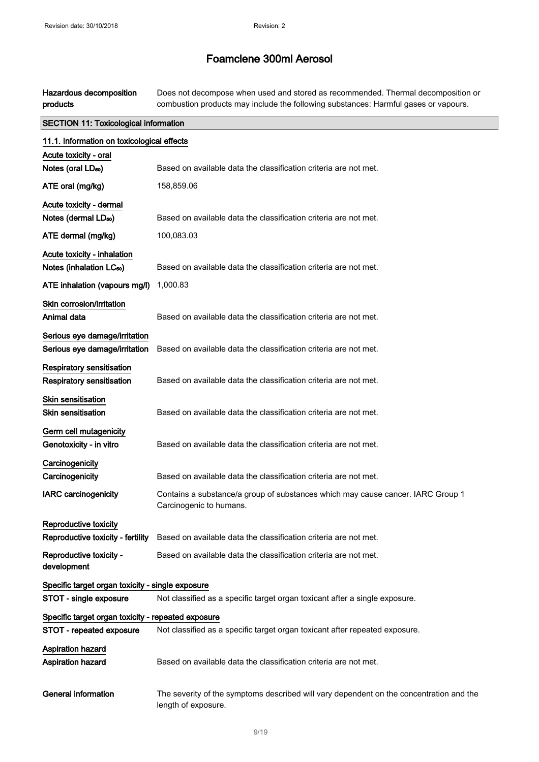Hazardous decomposition products Does not decompose when used and stored as recommended. Thermal decomposition or combustion products may include the following substances: Harmful gases or vapours.

| <b>SECTION 11: Toxicological information</b>       |                                                                                                                |  |
|----------------------------------------------------|----------------------------------------------------------------------------------------------------------------|--|
| 11.1. Information on toxicological effects         |                                                                                                                |  |
| Acute toxicity - oral                              |                                                                                                                |  |
| Notes (oral LD <sub>50</sub> )                     | Based on available data the classification criteria are not met.                                               |  |
| ATE oral (mg/kg)                                   | 158,859.06                                                                                                     |  |
| Acute toxicity - dermal                            |                                                                                                                |  |
| Notes (dermal LD <sub>50</sub> )                   | Based on available data the classification criteria are not met.                                               |  |
| ATE dermal (mg/kg)                                 | 100,083.03                                                                                                     |  |
| Acute toxicity - inhalation                        |                                                                                                                |  |
| Notes (inhalation LC <sub>50</sub> )               | Based on available data the classification criteria are not met.                                               |  |
| ATE inhalation (vapours mg/l)                      | 1,000.83                                                                                                       |  |
| Skin corrosion/irritation                          |                                                                                                                |  |
| Animal data                                        | Based on available data the classification criteria are not met.                                               |  |
| Serious eye damage/irritation                      |                                                                                                                |  |
| Serious eye damage/irritation                      | Based on available data the classification criteria are not met.                                               |  |
| <b>Respiratory sensitisation</b>                   |                                                                                                                |  |
| Respiratory sensitisation                          | Based on available data the classification criteria are not met.                                               |  |
| <b>Skin sensitisation</b>                          |                                                                                                                |  |
| <b>Skin sensitisation</b>                          | Based on available data the classification criteria are not met.                                               |  |
| Germ cell mutagenicity                             |                                                                                                                |  |
| Genotoxicity - in vitro                            | Based on available data the classification criteria are not met.                                               |  |
| Carcinogenicity                                    |                                                                                                                |  |
| Carcinogenicity                                    | Based on available data the classification criteria are not met.                                               |  |
| <b>IARC carcinogenicity</b>                        | Contains a substance/a group of substances which may cause cancer. IARC Group 1<br>Carcinogenic to humans.     |  |
| Reproductive toxicity                              |                                                                                                                |  |
|                                                    | Reproductive toxicity - fertility Based on available data the classification criteria are not met.             |  |
| Reproductive toxicity -<br>development             | Based on available data the classification criteria are not met.                                               |  |
| Specific target organ toxicity - single exposure   |                                                                                                                |  |
| STOT - single exposure                             | Not classified as a specific target organ toxicant after a single exposure.                                    |  |
| Specific target organ toxicity - repeated exposure |                                                                                                                |  |
| STOT - repeated exposure                           | Not classified as a specific target organ toxicant after repeated exposure.                                    |  |
| <b>Aspiration hazard</b>                           |                                                                                                                |  |
| <b>Aspiration hazard</b>                           | Based on available data the classification criteria are not met.                                               |  |
| <b>General information</b>                         | The severity of the symptoms described will vary dependent on the concentration and the<br>length of exposure. |  |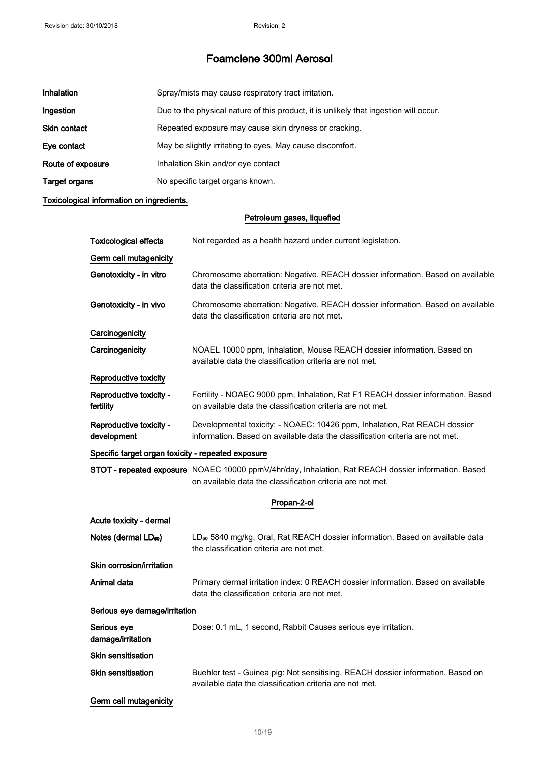| Inhalation          | Spray/mists may cause respiratory tract irritation.                                   |
|---------------------|---------------------------------------------------------------------------------------|
| Ingestion           | Due to the physical nature of this product, it is unlikely that ingestion will occur. |
| <b>Skin contact</b> | Repeated exposure may cause skin dryness or cracking.                                 |
| Eye contact         | May be slightly irritating to eyes. May cause discomfort.                             |
| Route of exposure   | Inhalation Skin and/or eye contact                                                    |
| Target organs       | No specific target organs known.                                                      |

### Toxicological information on ingredients.

### Petroleum gases, liquefied

| <b>Toxicological effects</b>                       | Not regarded as a health hazard under current legislation.                                                                                                        |
|----------------------------------------------------|-------------------------------------------------------------------------------------------------------------------------------------------------------------------|
| Germ cell mutagenicity                             |                                                                                                                                                                   |
| Genotoxicity - in vitro                            | Chromosome aberration: Negative. REACH dossier information. Based on available<br>data the classification criteria are not met.                                   |
| Genotoxicity - in vivo                             | Chromosome aberration: Negative. REACH dossier information. Based on available<br>data the classification criteria are not met.                                   |
| Carcinogenicity                                    |                                                                                                                                                                   |
| Carcinogenicity                                    | NOAEL 10000 ppm, Inhalation, Mouse REACH dossier information. Based on<br>available data the classification criteria are not met.                                 |
| Reproductive toxicity                              |                                                                                                                                                                   |
| Reproductive toxicity -<br>fertility               | Fertility - NOAEC 9000 ppm, Inhalation, Rat F1 REACH dossier information. Based<br>on available data the classification criteria are not met.                     |
| Reproductive toxicity -<br>development             | Developmental toxicity: - NOAEC: 10426 ppm, Inhalation, Rat REACH dossier<br>information. Based on available data the classification criteria are not met.        |
| Specific target organ toxicity - repeated exposure |                                                                                                                                                                   |
|                                                    | STOT - repeated exposure NOAEC 10000 ppmV/4hr/day, Inhalation, Rat REACH dossier information. Based<br>on available data the classification criteria are not met. |
|                                                    | Propan-2-ol                                                                                                                                                       |
| Acute toxicity - dermal                            |                                                                                                                                                                   |
| Notes (dermal LD <sub>50</sub> )                   | LD <sub>50</sub> 5840 mg/kg, Oral, Rat REACH dossier information. Based on available data<br>the classification criteria are not met.                             |
| Skin corrosion/irritation                          |                                                                                                                                                                   |
| Animal data                                        | Primary dermal irritation index: 0 REACH dossier information. Based on available<br>data the classification criteria are not met.                                 |
| Serious eye damage/irritation                      |                                                                                                                                                                   |
| Serious eye<br>damage/irritation                   | Dose: 0.1 mL, 1 second, Rabbit Causes serious eye irritation.                                                                                                     |
| Skin sensitisation                                 |                                                                                                                                                                   |
| <b>Skin sensitisation</b>                          | Buehler test - Guinea pig: Not sensitising. REACH dossier information. Based on<br>available data the classification criteria are not met.                        |
| Germ cell mutagenicity                             |                                                                                                                                                                   |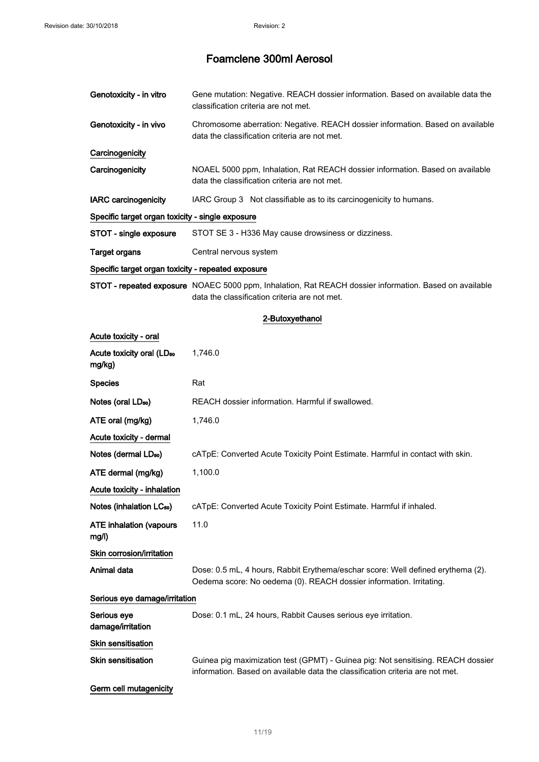| Genotoxicity - in vitro                            | Gene mutation: Negative. REACH dossier information. Based on available data the<br>classification criteria are not met.                                 |
|----------------------------------------------------|---------------------------------------------------------------------------------------------------------------------------------------------------------|
| Genotoxicity - in vivo                             | Chromosome aberration: Negative. REACH dossier information. Based on available<br>data the classification criteria are not met.                         |
| Carcinogenicity                                    |                                                                                                                                                         |
| Carcinogenicity                                    | NOAEL 5000 ppm, Inhalation, Rat REACH dossier information. Based on available<br>data the classification criteria are not met.                          |
| <b>IARC</b> carcinogenicity                        | IARC Group 3 Not classifiable as to its carcinogenicity to humans.                                                                                      |
| Specific target organ toxicity - single exposure   |                                                                                                                                                         |
| STOT - single exposure                             | STOT SE 3 - H336 May cause drowsiness or dizziness.                                                                                                     |
| <b>Target organs</b>                               | Central nervous system                                                                                                                                  |
| Specific target organ toxicity - repeated exposure |                                                                                                                                                         |
|                                                    | STOT - repeated exposure NOAEC 5000 ppm, Inhalation, Rat REACH dossier information. Based on available<br>data the classification criteria are not met. |
|                                                    | 2-Butoxyethanol                                                                                                                                         |
| Acute toxicity - oral                              |                                                                                                                                                         |
| Acute toxicity oral (LD <sub>50</sub><br>mg/kg)    | 1,746.0                                                                                                                                                 |
| <b>Species</b>                                     | Rat                                                                                                                                                     |
| Notes (oral LD <sub>50</sub> )                     | REACH dossier information. Harmful if swallowed.                                                                                                        |
| ATE oral (mg/kg)                                   | 1,746.0                                                                                                                                                 |
| Acute toxicity - dermal                            |                                                                                                                                                         |
| Notes (dermal LD <sub>50</sub> )                   | cATpE: Converted Acute Toxicity Point Estimate. Harmful in contact with skin.                                                                           |
| ATE dermal (mg/kg)                                 | 1,100.0                                                                                                                                                 |
| Acute toxicity - inhalation                        |                                                                                                                                                         |
| Notes (inhalation LC <sub>50</sub> )               | cATpE: Converted Acute Toxicity Point Estimate. Harmful if inhaled.                                                                                     |
| <b>ATE inhalation (vapours</b><br>mg/l)            | 11.0                                                                                                                                                    |
| Skin corrosion/irritation                          |                                                                                                                                                         |
| Animal data                                        | Dose: 0.5 mL, 4 hours, Rabbit Erythema/eschar score: Well defined erythema (2).<br>Oedema score: No oedema (0). REACH dossier information. Irritating.  |
| Serious eye damage/irritation                      |                                                                                                                                                         |
| Serious eye<br>damage/irritation                   | Dose: 0.1 mL, 24 hours, Rabbit Causes serious eye irritation.                                                                                           |
| Skin sensitisation                                 |                                                                                                                                                         |
| <b>Skin sensitisation</b>                          | Guinea pig maximization test (GPMT) - Guinea pig: Not sensitising. REACH dossier                                                                        |

Germ cell mutagenicity

information. Based on available data the classification criteria are not met.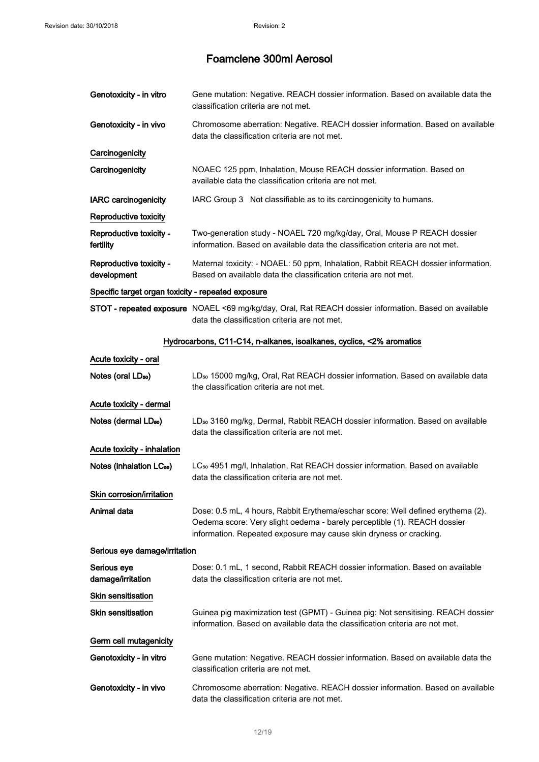| Genotoxicity - in vitro                            | Gene mutation: Negative. REACH dossier information. Based on available data the<br>classification criteria are not met.                                                                                                           |
|----------------------------------------------------|-----------------------------------------------------------------------------------------------------------------------------------------------------------------------------------------------------------------------------------|
| Genotoxicity - in vivo                             | Chromosome aberration: Negative. REACH dossier information. Based on available<br>data the classification criteria are not met.                                                                                                   |
| Carcinogenicity                                    |                                                                                                                                                                                                                                   |
| Carcinogenicity                                    | NOAEC 125 ppm, Inhalation, Mouse REACH dossier information. Based on<br>available data the classification criteria are not met.                                                                                                   |
| <b>IARC</b> carcinogenicity                        | IARC Group 3 Not classifiable as to its carcinogenicity to humans.                                                                                                                                                                |
| Reproductive toxicity                              |                                                                                                                                                                                                                                   |
| Reproductive toxicity -<br>fertility               | Two-generation study - NOAEL 720 mg/kg/day, Oral, Mouse P REACH dossier<br>information. Based on available data the classification criteria are not met.                                                                          |
| Reproductive toxicity -<br>development             | Maternal toxicity: - NOAEL: 50 ppm, Inhalation, Rabbit REACH dossier information.<br>Based on available data the classification criteria are not met.                                                                             |
| Specific target organ toxicity - repeated exposure |                                                                                                                                                                                                                                   |
|                                                    | STOT - repeated exposure NOAEL <69 mg/kg/day, Oral, Rat REACH dossier information. Based on available<br>data the classification criteria are not met.                                                                            |
|                                                    | Hydrocarbons, C11-C14, n-alkanes, isoalkanes, cyclics, <2% aromatics                                                                                                                                                              |
| Acute toxicity - oral                              |                                                                                                                                                                                                                                   |
| Notes (oral LD <sub>50</sub> )                     | LD <sub>50</sub> 15000 mg/kg, Oral, Rat REACH dossier information. Based on available data<br>the classification criteria are not met.                                                                                            |
| Acute toxicity - dermal                            |                                                                                                                                                                                                                                   |
| Notes (dermal LD <sub>50</sub> )                   | LD <sub>50</sub> 3160 mg/kg, Dermal, Rabbit REACH dossier information. Based on available<br>data the classification criteria are not met.                                                                                        |
| Acute toxicity - inhalation                        |                                                                                                                                                                                                                                   |
| Notes (inhalation LC <sub>50</sub> )               | LC <sub>50</sub> 4951 mg/l, Inhalation, Rat REACH dossier information. Based on available<br>data the classification criteria are not met.                                                                                        |
| Skin corrosion/irritation                          |                                                                                                                                                                                                                                   |
| Animal data                                        | Dose: 0.5 mL, 4 hours, Rabbit Erythema/eschar score: Well defined erythema (2).<br>Oedema score: Very slight oedema - barely perceptible (1). REACH dossier<br>information. Repeated exposure may cause skin dryness or cracking. |
| Serious eye damage/irritation                      |                                                                                                                                                                                                                                   |
| Serious eye<br>damage/irritation                   | Dose: 0.1 mL, 1 second, Rabbit REACH dossier information. Based on available<br>data the classification criteria are not met.                                                                                                     |
| Skin sensitisation                                 |                                                                                                                                                                                                                                   |
| <b>Skin sensitisation</b>                          | Guinea pig maximization test (GPMT) - Guinea pig: Not sensitising. REACH dossier<br>information. Based on available data the classification criteria are not met.                                                                 |
| Germ cell mutagenicity                             |                                                                                                                                                                                                                                   |
| Genotoxicity - in vitro                            | Gene mutation: Negative. REACH dossier information. Based on available data the<br>classification criteria are not met.                                                                                                           |
| Genotoxicity - in vivo                             | Chromosome aberration: Negative. REACH dossier information. Based on available<br>data the classification criteria are not met.                                                                                                   |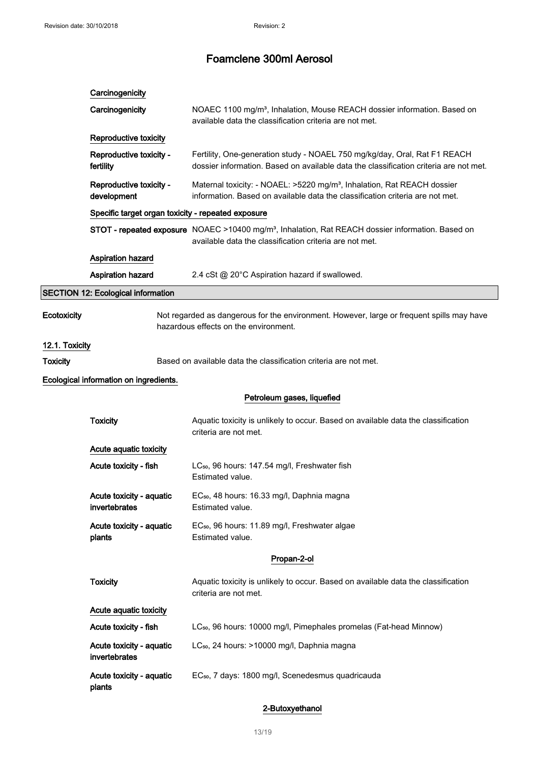|                                        | Carcinogenicity                                    |                                                                                                                                                                          |
|----------------------------------------|----------------------------------------------------|--------------------------------------------------------------------------------------------------------------------------------------------------------------------------|
|                                        | Carcinogenicity                                    | NOAEC 1100 mg/m <sup>3</sup> , Inhalation, Mouse REACH dossier information. Based on<br>available data the classification criteria are not met.                          |
|                                        | Reproductive toxicity                              |                                                                                                                                                                          |
|                                        | Reproductive toxicity -<br>fertility               | Fertility, One-generation study - NOAEL 750 mg/kg/day, Oral, Rat F1 REACH<br>dossier information. Based on available data the classification criteria are not met.       |
| Reproductive toxicity -<br>development |                                                    | Maternal toxicity: - NOAEL: >5220 mg/m <sup>3</sup> , Inhalation, Rat REACH dossier<br>information. Based on available data the classification criteria are not met.     |
|                                        | Specific target organ toxicity - repeated exposure |                                                                                                                                                                          |
|                                        |                                                    | STOT - repeated exposure NOAEC >10400 mg/m <sup>3</sup> , Inhalation, Rat REACH dossier information. Based on<br>available data the classification criteria are not met. |
|                                        | Aspiration hazard                                  |                                                                                                                                                                          |
|                                        | <b>Aspiration hazard</b>                           | 2.4 cSt @ 20°C Aspiration hazard if swallowed.                                                                                                                           |
|                                        | <b>SECTION 12: Ecological information</b>          |                                                                                                                                                                          |
| Ecotoxicity                            |                                                    | Not regarded as dangerous for the environment. However, large or frequent spills may have<br>hazardous effects on the environment.                                       |
| 12.1. Toxicity                         |                                                    |                                                                                                                                                                          |
| <b>Toxicity</b>                        |                                                    | Based on available data the classification criteria are not met.                                                                                                         |
|                                        | Ecological information on ingredients.             |                                                                                                                                                                          |
|                                        |                                                    | Petroleum gases, liquefied                                                                                                                                               |
|                                        | <b>Toxicity</b>                                    | Aquatic toxicity is unlikely to occur. Based on available data the classification<br>criteria are not met.                                                               |
|                                        | Acute aquatic toxicity                             |                                                                                                                                                                          |
|                                        | Acute toxicity - fish                              | LC <sub>50</sub> , 96 hours: 147.54 mg/l, Freshwater fish<br>Estimated value.                                                                                            |
|                                        | Acute toxicity - aquatic<br>invertebrates          | EC <sub>50</sub> , 48 hours: 16.33 mg/l, Daphnia magna<br>Estimated value.                                                                                               |
|                                        | Acute toxicity - aquatic<br>plants                 | EC <sub>50</sub> , 96 hours: 11.89 mg/l, Freshwater algae<br>Estimated value.                                                                                            |
|                                        |                                                    | Propan-2-ol                                                                                                                                                              |
|                                        | <b>Toxicity</b>                                    | Aquatic toxicity is unlikely to occur. Based on available data the classification<br>criteria are not met.                                                               |
|                                        | Acute aquatic toxicity                             |                                                                                                                                                                          |
|                                        | Acute toxicity - fish                              | LC <sub>50</sub> , 96 hours: 10000 mg/l, Pimephales promelas (Fat-head Minnow)                                                                                           |
|                                        | Acute toxicity - aquatic<br>invertebrates          | LC <sub>50</sub> , 24 hours: >10000 mg/l, Daphnia magna                                                                                                                  |
|                                        | Acute toxicity - aquatic<br>plants                 | EC <sub>50</sub> , 7 days: 1800 mg/l, Scenedesmus quadricauda                                                                                                            |

### 2-Butoxyethanol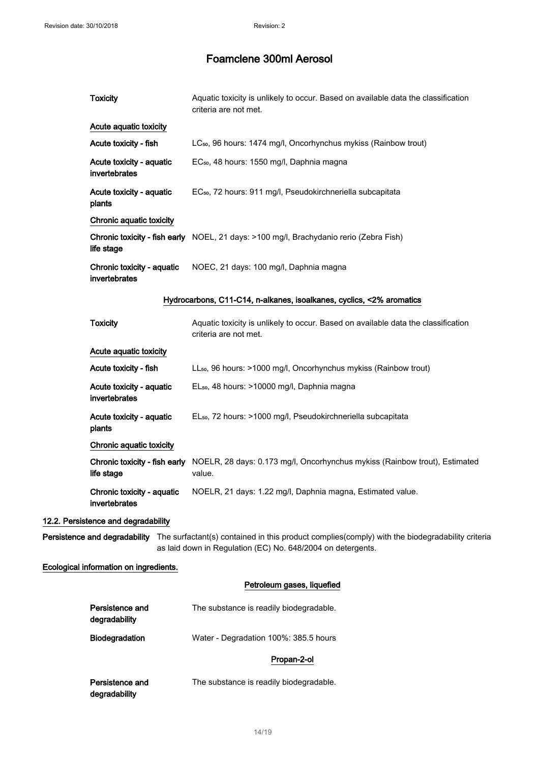| <b>Toxicity</b>                             | Aquatic toxicity is unlikely to occur. Based on available data the classification<br>criteria are not met.                    |
|---------------------------------------------|-------------------------------------------------------------------------------------------------------------------------------|
| Acute aquatic toxicity                      |                                                                                                                               |
| Acute toxicity - fish                       | LC <sub>50</sub> , 96 hours: 1474 mg/l, Oncorhynchus mykiss (Rainbow trout)                                                   |
| Acute toxicity - aquatic<br>invertebrates   | EC <sub>50</sub> , 48 hours: 1550 mg/l, Daphnia magna                                                                         |
| Acute toxicity - aquatic<br>plants          | EC <sub>50</sub> , 72 hours: 911 mg/l, Pseudokirchneriella subcapitata                                                        |
| Chronic aquatic toxicity                    |                                                                                                                               |
| life stage                                  | Chronic toxicity - fish early NOEL, 21 days: >100 mg/l, Brachydanio rerio (Zebra Fish)                                        |
| Chronic toxicity - aquatic<br>invertebrates | NOEC, 21 days: 100 mg/l, Daphnia magna                                                                                        |
|                                             | Hydrocarbons, C11-C14, n-alkanes, isoalkanes, cyclics, <2% aromatics                                                          |
| <b>Toxicity</b>                             | Aquatic toxicity is unlikely to occur. Based on available data the classification<br>criteria are not met.                    |
| Acute aquatic toxicity                      |                                                                                                                               |
| Acute toxicity - fish                       | LL <sub>50</sub> , 96 hours: >1000 mg/l, Oncorhynchus mykiss (Rainbow trout)                                                  |
| Acute toxicity - aquatic<br>invertebrates   | EL <sub>50</sub> , 48 hours: >10000 mg/l, Daphnia magna                                                                       |
| Acute toxicity - aquatic<br>plants          | EL <sub>50</sub> , 72 hours: >1000 mg/l, Pseudokirchneriella subcapitata                                                      |
| Chronic aquatic toxicity                    |                                                                                                                               |
| Chronic toxicity - fish early<br>life stage | NOELR, 28 days: 0.173 mg/l, Oncorhynchus mykiss (Rainbow trout), Estimated<br>value.                                          |
| Chronic toxicity - aquatic<br>invertebrates | NOELR, 21 days: 1.22 mg/l, Daphnia magna, Estimated value.                                                                    |
| 12.2. Persistence and degradability         |                                                                                                                               |
|                                             | Persistence and degradability The surfactant(s) contained in this product complies(comply) with the biodegradability criteria |

as laid down in Regulation (EC) No. 648/2004 on detergents.

### Ecological information on ingredients.

### Petroleum gases, liquefied

| Persistence and<br>degradability | The substance is readily biodegradable. |  |
|----------------------------------|-----------------------------------------|--|
| <b>Biodegradation</b>            | Water - Degradation 100%: 385.5 hours   |  |
|                                  | Propan-2-ol                             |  |
| Persistence and<br>degradability | The substance is readily biodegradable. |  |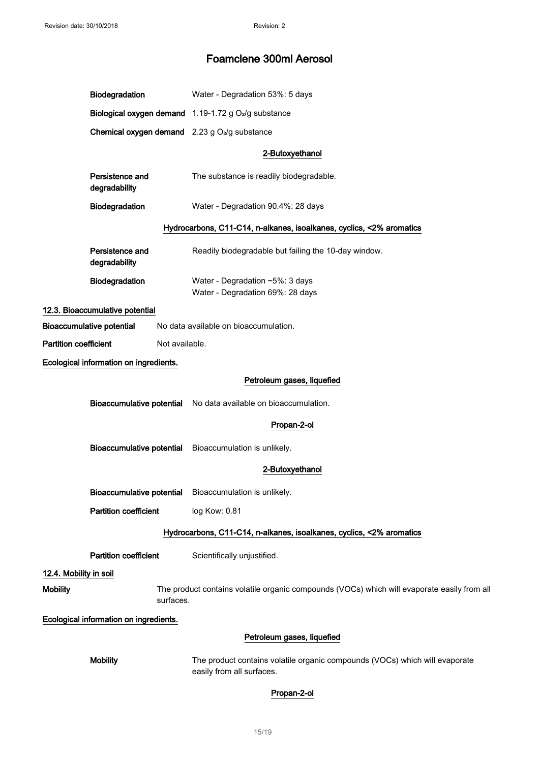|                              | Biodegradation                                                                                           |                | Water - Degradation 53%: 5 days                                                                          |
|------------------------------|----------------------------------------------------------------------------------------------------------|----------------|----------------------------------------------------------------------------------------------------------|
|                              |                                                                                                          |                | Biological oxygen demand 1.19-1.72 g O <sub>2</sub> /g substance                                         |
|                              |                                                                                                          |                | Chemical oxygen demand 2.23 g O <sub>2</sub> /g substance                                                |
|                              |                                                                                                          |                | 2-Butoxyethanol                                                                                          |
|                              | Persistence and<br>degradability                                                                         |                | The substance is readily biodegradable.                                                                  |
|                              | Biodegradation                                                                                           |                | Water - Degradation 90.4%: 28 days                                                                       |
|                              |                                                                                                          |                | Hydrocarbons, C11-C14, n-alkanes, isoalkanes, cyclics, <2% aromatics                                     |
|                              | Persistence and<br>degradability                                                                         |                | Readily biodegradable but failing the 10-day window.                                                     |
|                              | Biodegradation                                                                                           |                | Water - Degradation ~5%: 3 days<br>Water - Degradation 69%: 28 days                                      |
|                              | 12.3. Bioaccumulative potential                                                                          |                |                                                                                                          |
|                              | <b>Bioaccumulative potential</b>                                                                         |                | No data available on bioaccumulation.                                                                    |
| <b>Partition coefficient</b> |                                                                                                          | Not available. |                                                                                                          |
|                              | Ecological information on ingredients.                                                                   |                |                                                                                                          |
|                              |                                                                                                          |                | Petroleum gases, liquefied                                                                               |
|                              |                                                                                                          |                | Bioaccumulative potential No data available on bioaccumulation.                                          |
|                              |                                                                                                          |                | Propan-2-ol                                                                                              |
|                              | <b>Bioaccumulative potential</b>                                                                         |                | Bioaccumulation is unlikely.                                                                             |
|                              |                                                                                                          |                | 2-Butoxyethanol                                                                                          |
|                              |                                                                                                          |                | Bioaccumulative potential Bioaccumulation is unlikely.                                                   |
|                              | <b>Partition coefficient</b>                                                                             |                | log Kow: 0.81                                                                                            |
|                              |                                                                                                          |                | Hydrocarbons, C11-C14, n-alkanes, isoalkanes, cyclics, <2% aromatics                                     |
|                              | <b>Partition coefficient</b>                                                                             |                | Scientifically unjustified.                                                                              |
| 12.4. Mobility in soil       |                                                                                                          |                |                                                                                                          |
| <b>Mobility</b>              | The product contains volatile organic compounds (VOCs) which will evaporate easily from all<br>surfaces. |                |                                                                                                          |
|                              | Ecological information on ingredients.                                                                   |                |                                                                                                          |
|                              |                                                                                                          |                | Petroleum gases, liquefied                                                                               |
|                              | <b>Mobility</b>                                                                                          |                | The product contains volatile organic compounds (VOCs) which will evaporate<br>easily from all surfaces. |
|                              |                                                                                                          |                | Propan-2-ol                                                                                              |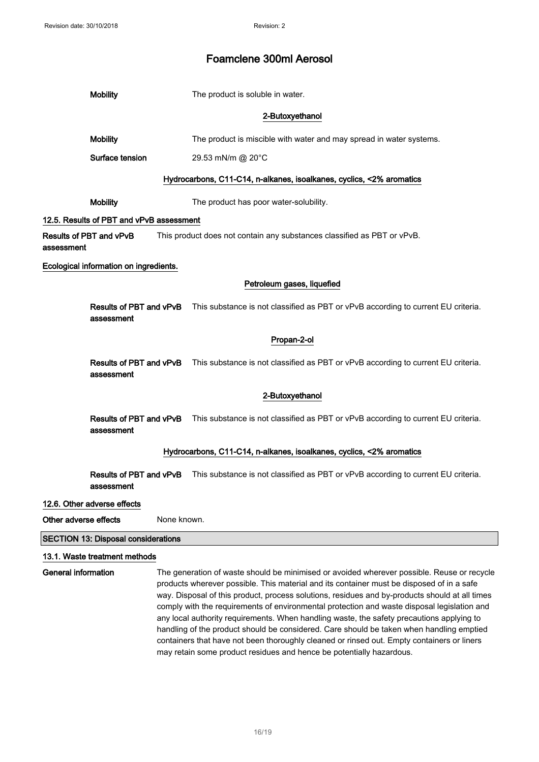|                            | <b>Mobility</b>                            |  | The product is soluble in water.                                                                                                                                                                                                                                                                                                                                                                                                                                                      |
|----------------------------|--------------------------------------------|--|---------------------------------------------------------------------------------------------------------------------------------------------------------------------------------------------------------------------------------------------------------------------------------------------------------------------------------------------------------------------------------------------------------------------------------------------------------------------------------------|
|                            |                                            |  | 2-Butoxyethanol                                                                                                                                                                                                                                                                                                                                                                                                                                                                       |
|                            | <b>Mobility</b>                            |  | The product is miscible with water and may spread in water systems.                                                                                                                                                                                                                                                                                                                                                                                                                   |
|                            | Surface tension                            |  | 29.53 mN/m @ 20°C                                                                                                                                                                                                                                                                                                                                                                                                                                                                     |
|                            |                                            |  | Hydrocarbons, C11-C14, n-alkanes, isoalkanes, cyclics, <2% aromatics                                                                                                                                                                                                                                                                                                                                                                                                                  |
|                            | <b>Mobility</b>                            |  | The product has poor water-solubility.                                                                                                                                                                                                                                                                                                                                                                                                                                                |
|                            | 12.5. Results of PBT and vPvB assessment   |  |                                                                                                                                                                                                                                                                                                                                                                                                                                                                                       |
| assessment                 | Results of PBT and vPvB                    |  | This product does not contain any substances classified as PBT or vPvB.                                                                                                                                                                                                                                                                                                                                                                                                               |
|                            | Ecological information on ingredients.     |  |                                                                                                                                                                                                                                                                                                                                                                                                                                                                                       |
|                            |                                            |  | Petroleum gases, liquefied                                                                                                                                                                                                                                                                                                                                                                                                                                                            |
|                            | Results of PBT and vPvB<br>assessment      |  | This substance is not classified as PBT or vPvB according to current EU criteria.                                                                                                                                                                                                                                                                                                                                                                                                     |
|                            |                                            |  | Propan-2-ol                                                                                                                                                                                                                                                                                                                                                                                                                                                                           |
|                            | assessment                                 |  | Results of PBT and vPvB This substance is not classified as PBT or vPvB according to current EU criteria.                                                                                                                                                                                                                                                                                                                                                                             |
|                            |                                            |  | 2-Butoxyethanol                                                                                                                                                                                                                                                                                                                                                                                                                                                                       |
|                            | assessment                                 |  | Results of PBT and vPvB This substance is not classified as PBT or vPvB according to current EU criteria.                                                                                                                                                                                                                                                                                                                                                                             |
|                            |                                            |  | Hydrocarbons, C11-C14, n-alkanes, isoalkanes, cyclics, <2% aromatics                                                                                                                                                                                                                                                                                                                                                                                                                  |
|                            | Results of PBT and vPvB<br>assessment      |  | This substance is not classified as PBT or vPvB according to current EU criteria.                                                                                                                                                                                                                                                                                                                                                                                                     |
|                            | 12.6. Other adverse effects                |  |                                                                                                                                                                                                                                                                                                                                                                                                                                                                                       |
|                            | Other adverse effects<br>None known.       |  |                                                                                                                                                                                                                                                                                                                                                                                                                                                                                       |
|                            | <b>SECTION 13: Disposal considerations</b> |  |                                                                                                                                                                                                                                                                                                                                                                                                                                                                                       |
|                            | 13.1. Waste treatment methods              |  |                                                                                                                                                                                                                                                                                                                                                                                                                                                                                       |
| <b>General information</b> |                                            |  | The generation of waste should be minimised or avoided wherever possible. Reuse or recycle<br>products wherever possible. This material and its container must be disposed of in a safe<br>way. Disposal of this product, process solutions, residues and by-products should at all times<br>comply with the requirements of environmental protection and waste disposal legislation and<br>any local authority requirements. When handling waste, the safety precautions applying to |

may retain some product residues and hence be potentially hazardous.

handling of the product should be considered. Care should be taken when handling emptied containers that have not been thoroughly cleaned or rinsed out. Empty containers or liners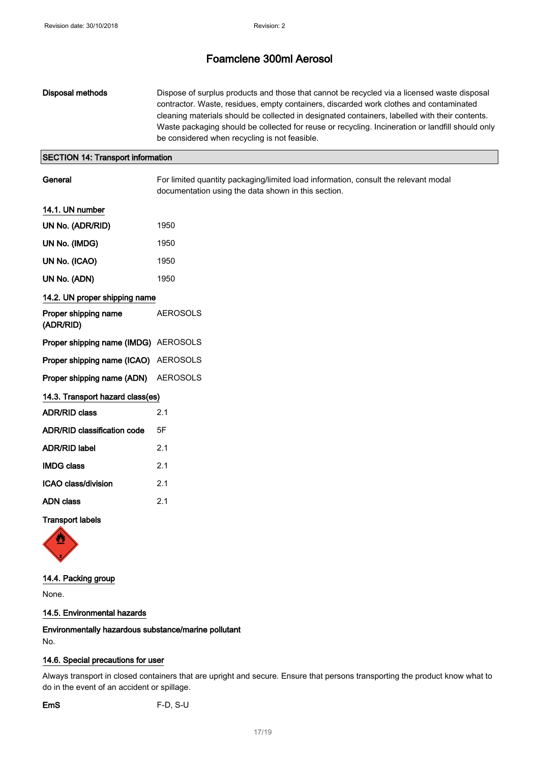| Disposal methods | Dispose of surplus products and those that cannot be recycled via a licensed waste disposal      |
|------------------|--------------------------------------------------------------------------------------------------|
|                  | contractor. Waste, residues, empty containers, discarded work clothes and contaminated           |
|                  | cleaning materials should be collected in designated containers, labelled with their contents.   |
|                  | Waste packaging should be collected for reuse or recycling. Incineration or landfill should only |
|                  | be considered when recycling is not feasible.                                                    |

### SECTION 14: Transport information

General For limited quantity packaging/limited load information, consult the relevant modal documentation using the data shown in this section.

| 14.1. UN number                      |                 |
|--------------------------------------|-----------------|
| UN No. (ADR/RID)                     | 1950            |
| UN No. (IMDG)                        | 1950            |
| UN No. (ICAO)                        | 1950            |
| UN No. (ADN)                         | 1950            |
| 14.2. UN proper shipping name        |                 |
| Proper shipping name<br>(ADR/RID)    | <b>AEROSOLS</b> |
| Proper shipping name (IMDG) AEROSOLS |                 |
| Proper shipping name (ICAO) AEROSOLS |                 |
| Proper shipping name (ADN) AEROSOLS  |                 |
| 14.3. Transport hazard class(es)     |                 |
| <b>ADR/RID class</b>                 | 2.1             |
| <b>ADR/RID classification code</b>   | 5F              |
| <b>ADR/RID label</b>                 | 2.1             |
| <b>IMDG class</b>                    | 2.1             |
| ICAO class/division                  | 2.1             |
| <b>ADN class</b>                     | 2.1             |

### Transport labels



### 14.4. Packing group

None.

### 14.5. Environmental hazards

### Environmentally hazardous substance/marine pollutant No.

### 14.6. Special precautions for user

Always transport in closed containers that are upright and secure. Ensure that persons transporting the product know what to do in the event of an accident or spillage.

EmS F-D, S-U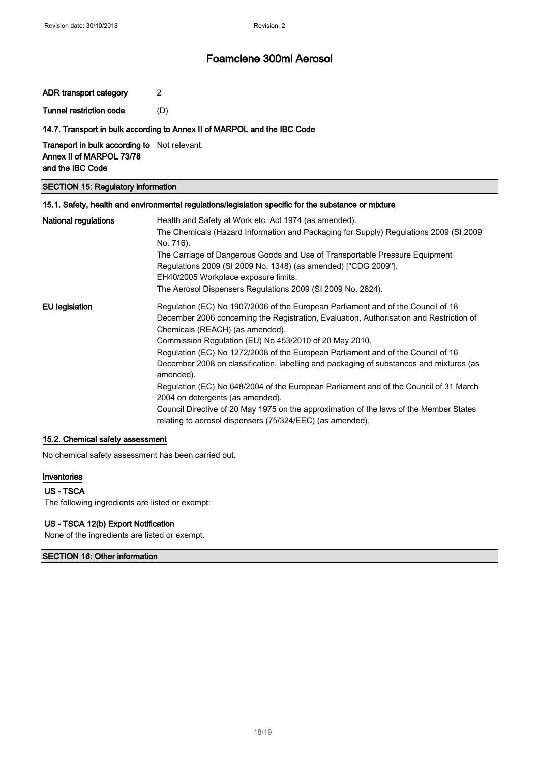ADR transport category 2

Tunnel restriction code (D)

#### 14.7. Transport in bulk according to Annex II of MARPOL and the IBC Code

**Transport in bulk according to** Not relevant. Annex II of MARPOL 73/78 and the IBC Code

### SECTION 15: Regulatory information

### 15.1. Safety, health and environmental regulations/legislation specific for the substance or mixture

| <b>National regulations</b> | Health and Safety at Work etc. Act 1974 (as amended).                                                                                               |  |  |  |
|-----------------------------|-----------------------------------------------------------------------------------------------------------------------------------------------------|--|--|--|
|                             | The Chemicals (Hazard Information and Packaging for Supply) Regulations 2009 (SI 2009                                                               |  |  |  |
|                             | No. 716).                                                                                                                                           |  |  |  |
|                             | The Carriage of Dangerous Goods and Use of Transportable Pressure Equipment                                                                         |  |  |  |
|                             | Regulations 2009 (SI 2009 No. 1348) (as amended) ["CDG 2009"].                                                                                      |  |  |  |
|                             | EH40/2005 Workplace exposure limits.                                                                                                                |  |  |  |
|                             | The Aerosol Dispensers Regulations 2009 (SI 2009 No. 2824).                                                                                         |  |  |  |
| EU legislation              | Regulation (EC) No 1907/2006 of the European Parliament and of the Council of 18                                                                    |  |  |  |
|                             | December 2006 concerning the Registration, Evaluation, Authorisation and Restriction of                                                             |  |  |  |
|                             | Chemicals (REACH) (as amended).                                                                                                                     |  |  |  |
|                             | Commission Regulation (EU) No 453/2010 of 20 May 2010.                                                                                              |  |  |  |
|                             | Regulation (EC) No 1272/2008 of the European Parliament and of the Council of 16                                                                    |  |  |  |
|                             | December 2008 on classification, labelling and packaging of substances and mixtures (as<br>amended).                                                |  |  |  |
|                             | Regulation (EC) No 648/2004 of the European Parliament and of the Council of 31 March<br>2004 on detergents (as amended).                           |  |  |  |
|                             | Council Directive of 20 May 1975 on the approximation of the laws of the Member States<br>relating to aerosol dispensers (75/324/EEC) (as amended). |  |  |  |
|                             |                                                                                                                                                     |  |  |  |

#### 15.2. Chemical safety assessment

No chemical safety assessment has been carried out.

#### Inventories

#### US - TSCA

The following ingredients are listed or exempt:

#### US - TSCA 12(b) Export Notification

None of the ingredients are listed or exempt.

#### SECTION 16: Other information